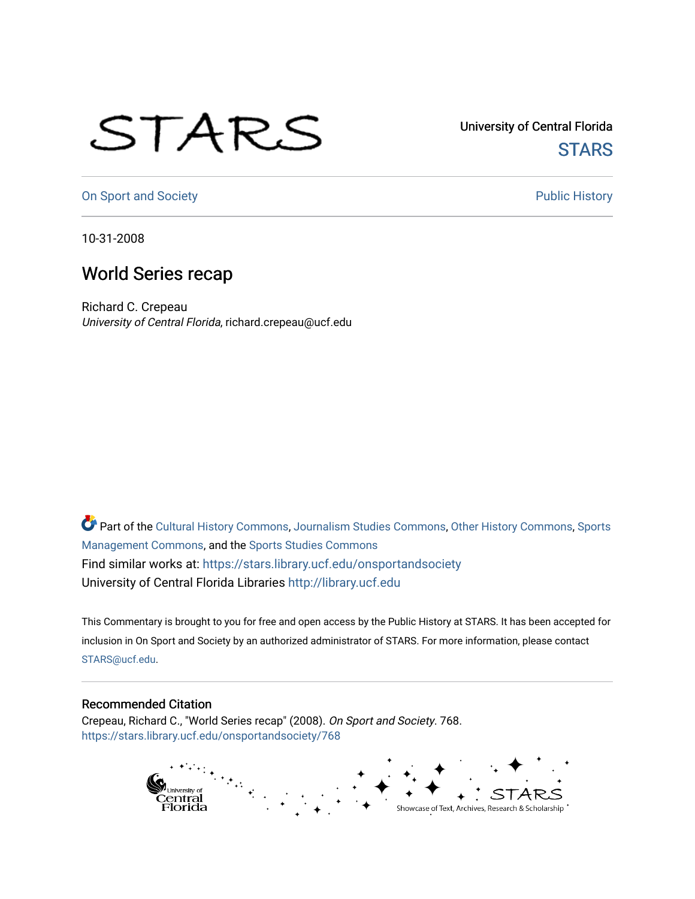## STARS

University of Central Florida **STARS** 

[On Sport and Society](https://stars.library.ucf.edu/onsportandsociety) **Public History** Public History

10-31-2008

## World Series recap

Richard C. Crepeau University of Central Florida, richard.crepeau@ucf.edu

Part of the [Cultural History Commons](http://network.bepress.com/hgg/discipline/496?utm_source=stars.library.ucf.edu%2Fonsportandsociety%2F768&utm_medium=PDF&utm_campaign=PDFCoverPages), [Journalism Studies Commons,](http://network.bepress.com/hgg/discipline/333?utm_source=stars.library.ucf.edu%2Fonsportandsociety%2F768&utm_medium=PDF&utm_campaign=PDFCoverPages) [Other History Commons,](http://network.bepress.com/hgg/discipline/508?utm_source=stars.library.ucf.edu%2Fonsportandsociety%2F768&utm_medium=PDF&utm_campaign=PDFCoverPages) [Sports](http://network.bepress.com/hgg/discipline/1193?utm_source=stars.library.ucf.edu%2Fonsportandsociety%2F768&utm_medium=PDF&utm_campaign=PDFCoverPages) [Management Commons](http://network.bepress.com/hgg/discipline/1193?utm_source=stars.library.ucf.edu%2Fonsportandsociety%2F768&utm_medium=PDF&utm_campaign=PDFCoverPages), and the [Sports Studies Commons](http://network.bepress.com/hgg/discipline/1198?utm_source=stars.library.ucf.edu%2Fonsportandsociety%2F768&utm_medium=PDF&utm_campaign=PDFCoverPages) Find similar works at: <https://stars.library.ucf.edu/onsportandsociety> University of Central Florida Libraries [http://library.ucf.edu](http://library.ucf.edu/) 

This Commentary is brought to you for free and open access by the Public History at STARS. It has been accepted for inclusion in On Sport and Society by an authorized administrator of STARS. For more information, please contact [STARS@ucf.edu](mailto:STARS@ucf.edu).

## Recommended Citation

Crepeau, Richard C., "World Series recap" (2008). On Sport and Society. 768. [https://stars.library.ucf.edu/onsportandsociety/768](https://stars.library.ucf.edu/onsportandsociety/768?utm_source=stars.library.ucf.edu%2Fonsportandsociety%2F768&utm_medium=PDF&utm_campaign=PDFCoverPages)

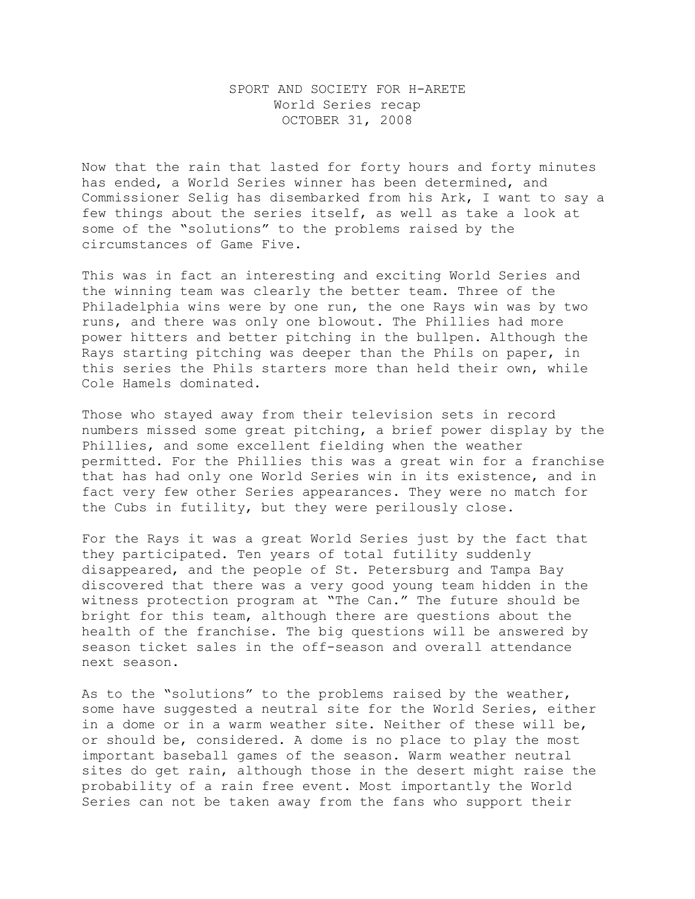## SPORT AND SOCIETY FOR H-ARETE World Series recap OCTOBER 31, 2008

Now that the rain that lasted for forty hours and forty minutes has ended, a World Series winner has been determined, and Commissioner Selig has disembarked from his Ark, I want to say a few things about the series itself, as well as take a look at some of the "solutions" to the problems raised by the circumstances of Game Five.

This was in fact an interesting and exciting World Series and the winning team was clearly the better team. Three of the Philadelphia wins were by one run, the one Rays win was by two runs, and there was only one blowout. The Phillies had more power hitters and better pitching in the bullpen. Although the Rays starting pitching was deeper than the Phils on paper, in this series the Phils starters more than held their own, while Cole Hamels dominated.

Those who stayed away from their television sets in record numbers missed some great pitching, a brief power display by the Phillies, and some excellent fielding when the weather permitted. For the Phillies this was a great win for a franchise that has had only one World Series win in its existence, and in fact very few other Series appearances. They were no match for the Cubs in futility, but they were perilously close.

For the Rays it was a great World Series just by the fact that they participated. Ten years of total futility suddenly disappeared, and the people of St. Petersburg and Tampa Bay discovered that there was a very good young team hidden in the witness protection program at "The Can." The future should be bright for this team, although there are questions about the health of the franchise. The big questions will be answered by season ticket sales in the off-season and overall attendance next season.

As to the "solutions" to the problems raised by the weather, some have suggested a neutral site for the World Series, either in a dome or in a warm weather site. Neither of these will be, or should be, considered. A dome is no place to play the most important baseball games of the season. Warm weather neutral sites do get rain, although those in the desert might raise the probability of a rain free event. Most importantly the World Series can not be taken away from the fans who support their